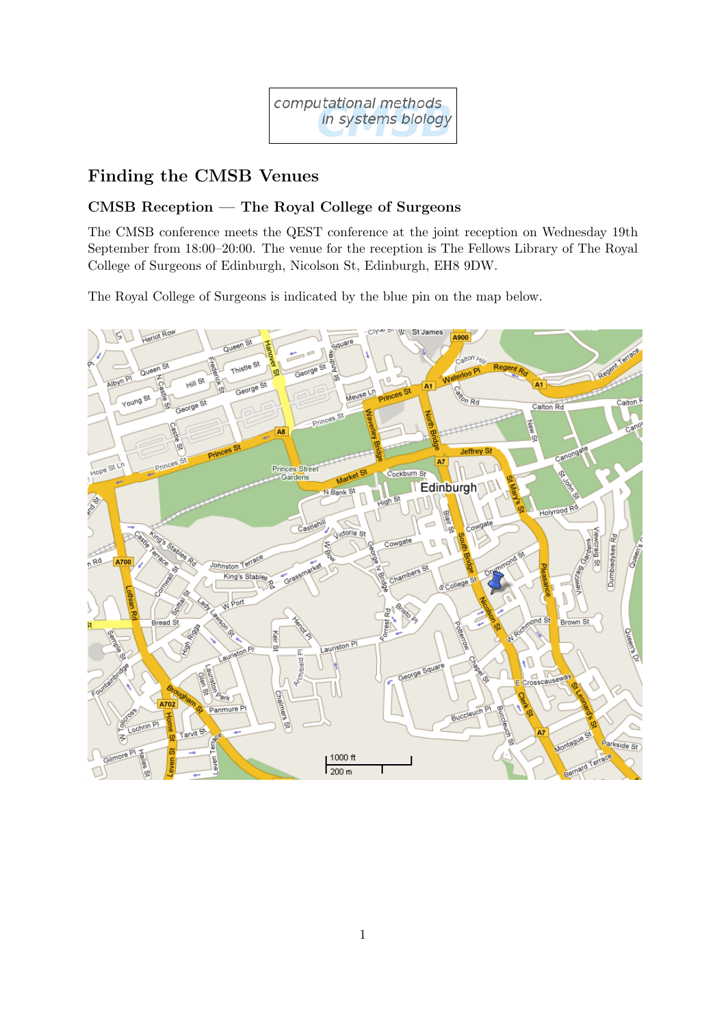

# Finding the CMSB Venues

## CMSB Reception — The Royal College of Surgeons

The CMSB conference meets the QEST conference at the joint reception on Wednesday 19th September from 18:00–20:00. The venue for the reception is The Fellows Library of The Royal College of Surgeons of Edinburgh, Nicolson St, Edinburgh, EH8 9DW.

The Royal College of Surgeons is indicated by the blue pin on the map below.

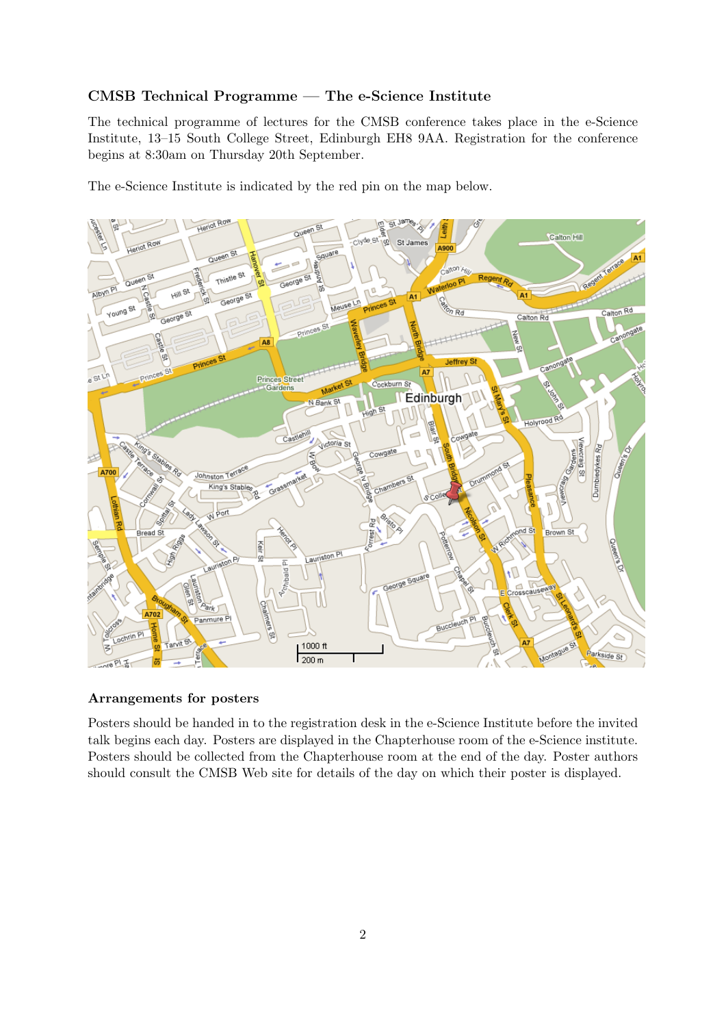#### CMSB Technical Programme — The e-Science Institute

The technical programme of lectures for the CMSB conference takes place in the e-Science Institute, 13–15 South College Street, Edinburgh EH8 9AA. Registration for the conference begins at 8:30am on Thursday 20th September.

The e-Science Institute is indicated by the red pin on the map below.



#### Arrangements for posters

Posters should be handed in to the registration desk in the e-Science Institute before the invited talk begins each day. Posters are displayed in the Chapterhouse room of the e-Science institute. Posters should be collected from the Chapterhouse room at the end of the day. Poster authors should consult the CMSB Web site for details of the day on which their poster is displayed.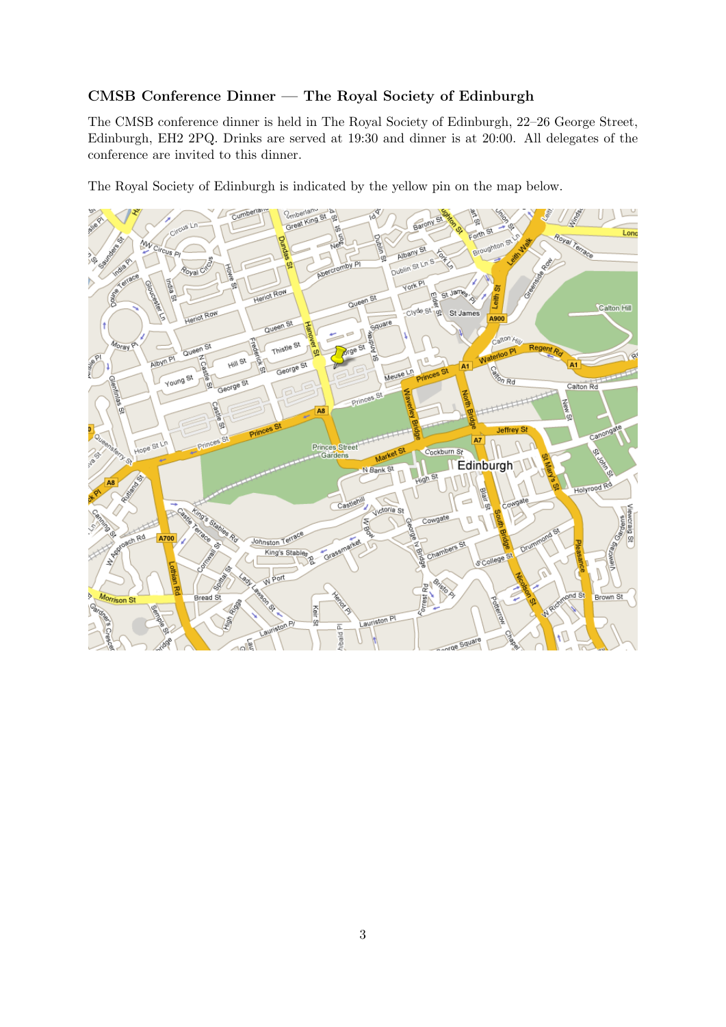### CMSB Conference Dinner — The Royal Society of Edinburgh

The CMSB conference dinner is held in The Royal Society of Edinburgh, 22–26 George Street, Edinburgh, EH2 2PQ. Drinks are served at 19:30 and dinner is at 20:00. All delegates of the conference are invited to this dinner.

The Royal Society of Edinburgh is indicated by the yellow pin on the map below.